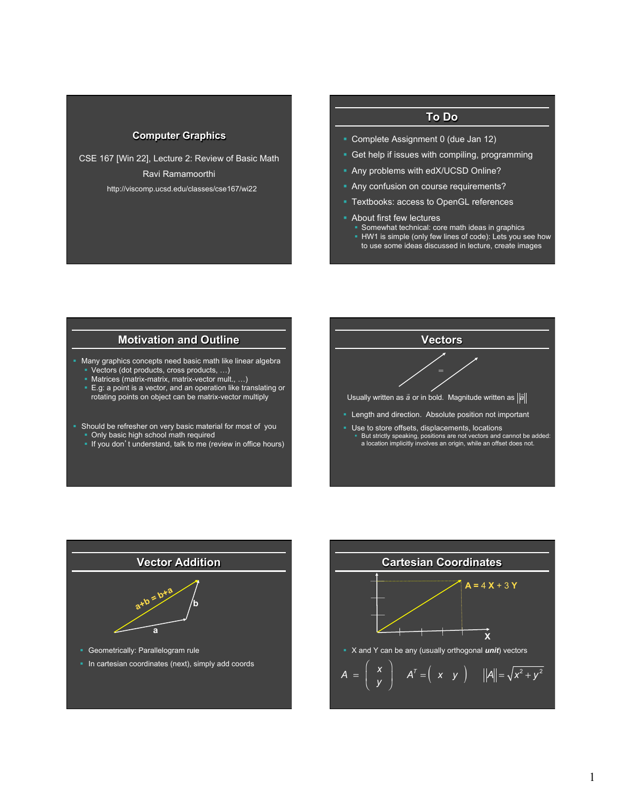## **Computer Graphics**

CSE 167 [Win 22], Lecture 2: Review of Basic Math Ravi Ramamoorthi http://viscomp.ucsd.edu/classes/cse167/wi22

# **To Do**

- § Complete Assignment 0 (due Jan 12)
- Get help if issues with compiling, programming
- § Any problems with edX/UCSD Online?
- **Any confusion on course requirements?**
- § Textbooks: access to OpenGL references
- **About first few lectures** 
	- Somewhat technical: core math ideas in graphics
	- **HW1** is simple (only few lines of code): Lets you see how to use some ideas discussed in lecture, create images

#### **Motivation and Outline**

- § Many graphics concepts need basic math like linear algebra § Vectors (dot products, cross products, …)
	- § Matrices (matrix-matrix, matrix-vector mult., …)
	- E.g: a point is a vector, and an operation like translating or rotating points on object can be matrix-vector multiply
- Should be refresher on very basic material for most of you § Only basic high school math required
	- § If you don't understand, talk to me (review in office hours)





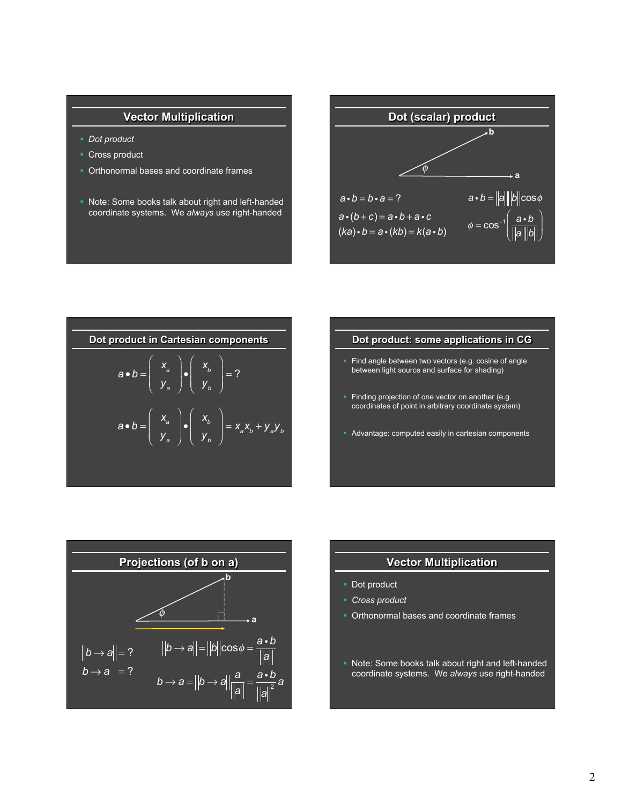# **Vector Multiplication**

- § *Dot product*
- Cross product
- Orthonormal bases and coordinate frames
- § Note: Some books talk about right and left-handed coordinate systems. We *always* use right-handed





#### **Dot product: some applications in CG**

- Find angle between two vectors (e.g. cosine of angle between light source and surface for shading)
- Finding projection of one vector on another (e.g. coordinates of point in arbitrary coordinate system)
- § Advantage: computed easily in cartesian components



#### **Vector Multiplication**

- Dot product
- § *Cross product*
- § Orthonormal bases and coordinate frames
- § Note: Some books talk about right and left-handed coordinate systems. We *always* use right-handed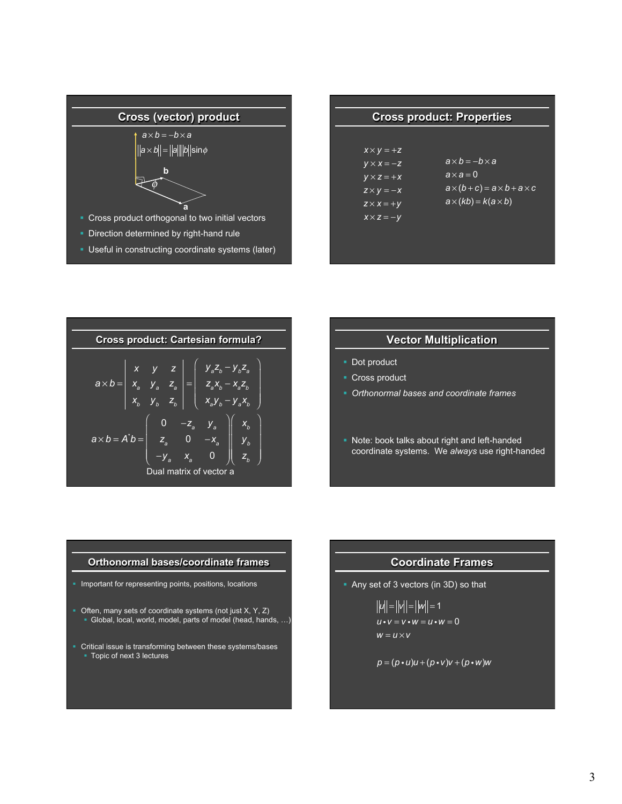

§ Useful in constructing coordinate systems (later)

| <b>Cross product: Properties</b>                                                 |                                                                                                     |  |
|----------------------------------------------------------------------------------|-----------------------------------------------------------------------------------------------------|--|
| $X \times V = +Z$<br>$V \times X = -Z$<br>$V \times Z = +X$<br>$Z \times V = -X$ | $a \times b = -b \times a$<br>$\overline{a \times a} = 0$<br>$a\times(b+c) = a\times b + a\times c$ |  |
| $Z \times X = +V$<br>$X \times Z = -Y$                                           | $a \times (kb) = k(a \times b)$                                                                     |  |

| <b>Cross product: Cartesian formula?</b> |                                                                                                                                                                                          |  |  |
|------------------------------------------|------------------------------------------------------------------------------------------------------------------------------------------------------------------------------------------|--|--|
|                                          | $a \times b = \begin{vmatrix} x & y & z \\ x_a & y_a & z_a \\ x_b & y_b & z_b \end{vmatrix} = \begin{pmatrix} y_a z_b - y_b z_a \\ z_a x_b - x_a z_b \\ x_a y_b - y_a x_b \end{pmatrix}$ |  |  |
|                                          | $a \times b = A^*b = \begin{bmatrix} 0 & -z_a & y_a \\ z_a & 0 & -x_a \\ -y_a & x_a & 0 \end{bmatrix} \begin{bmatrix} x_b \\ y_b \\ z_b \end{bmatrix}$<br>Dual matrix of vector a        |  |  |

# **Vector Multiplication**

- Dot product
- Cross product
- § *Orthonormal bases and coordinate frames*
- § Note: book talks about right and left-handed coordinate systems. We *always* use right-handed

#### **Orthonormal bases/coordinate frames**

- § Important for representing points, positions, locations
- Often, many sets of coordinate systems (not just X, Y, Z) § Global, local, world, model, parts of model (head, hands, …)
- § Critical issue is transforming between these systems/bases § Topic of next 3 lectures

# **Coordinate Frames**

§ Any set of 3 vectors (in 3D) so that

$$
||u|| = ||w|| = 1 u \cdot v = v \cdot w = u \cdot w = 0 w = u \times v
$$

$$
p = (p \cdot u)u + (p \cdot v)v + (p \cdot w)w
$$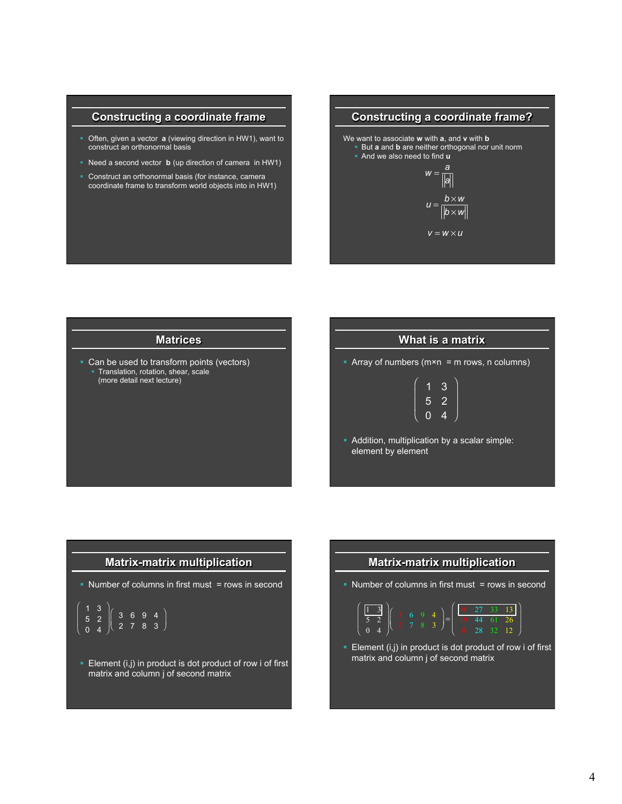# **Constructing a coordinate frame**

- § Often, given a vector **a** (viewing direction in HW1), want to construct an orthonormal basis
- § Need a second vector **b** (up direction of camera in HW1)
- Construct an orthonormal basis (for instance, camera coordinate frame to transform world objects into in HW1)

# **Constructing a coordinate frame?**  We want to associate **w** with **a**, and **v** with **b**  § But **a** and **b** are neither orthogonal nor unit norm § And we also need to find **u**   $b \times w$  $|b \times w|$  $v = w \times u$  $w = \frac{a}{a}$ *a*

#### **Matrices**

• Can be used to transform points (vectors) **Translation, rotation, shear, scale** (more detail next lecture)

## **What is a matrix**

⎞

⎠

E Array of numbers ( $m \times n$  = m rows, n columns)

$$
\left(\begin{array}{rrr} 1 & 3 \\ 5 & 2 \\ 0 & 4 \end{array}\right)
$$

§ Addition, multiplication by a scalar simple: element by element

### **Matrix-matrix multiplication**

• Number of columns in first must = rows in second

$$
\begin{array}{c|cccc}\n1 & 3 \\
5 & 2 \\
0 & 4\n\end{array}\n\left(\n\begin{array}{ccc}\n3 & 6 & 9 & 4 \\
2 & 7 & 8 & 3\n\end{array}\n\right)
$$

⎛

⎝ ⎜ ⎜

> **Element (i,j) in product is dot product of row i of first** matrix and column j of second matrix

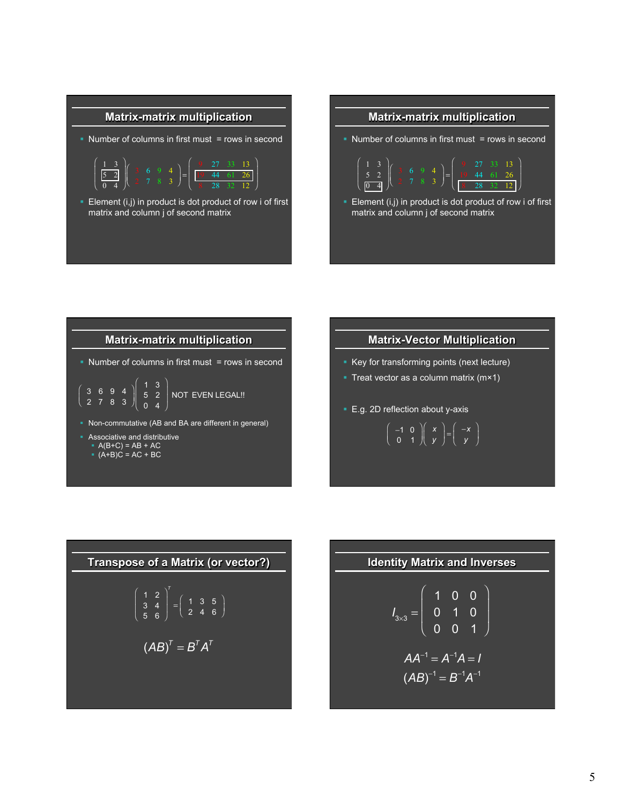



## **Matrix-matrix multiplication**

• Number of columns in first must = rows in second

$$
\left(\begin{array}{ccc} 3 & 6 & 9 & 4 \\ 2 & 7 & 8 & 3 \end{array}\right)\left(\begin{array}{ccc} 1 & 3 \\ 5 & 2 \\ 0 & 4 \end{array}\right)
$$
 NOT EVEN LEGAL!!

§ Non-commutative (AB and BA are different in general)

§ Associative and distributive

 $\blacktriangle$  A(B+C) = AB + AC

 $(A+B)C = AC + BC$ 

## **Matrix-Vector Multiplication**

- Key for transforming points (next lecture)
- Treat vector as a column matrix (m×1)
- E.g. 2D reflection about y-axis

$$
\left(\begin{array}{cc}-1 & 0\\0 & 1\end{array}\right)\left(\begin{array}{c}x\\y\end{array}\right)=\left(\begin{array}{c}-x\\y\end{array}\right)
$$

**Transpose of a Matrix (or vector?)**  

$$
\begin{pmatrix} 1 & 2 \ 3 & 4 \ 5 & 6 \end{pmatrix}^{T} = \begin{pmatrix} 1 & 3 & 5 \ 2 & 4 & 6 \end{pmatrix}
$$

$$
(AB)^{T} = B^{T}A^{T}
$$

| Identity Matrix and Inverses                                                        |
|-------------------------------------------------------------------------------------|
| $I_{3\times 3} = \begin{pmatrix} 1 & 0 & 0 \\ 0 & 1 & 0 \\ 0 & 0 & 1 \end{pmatrix}$ |
| $AA^{-1} = A^{-1}A = I$                                                             |
| $(AB)^{-1} = B^{-1}A^{-1}$                                                          |